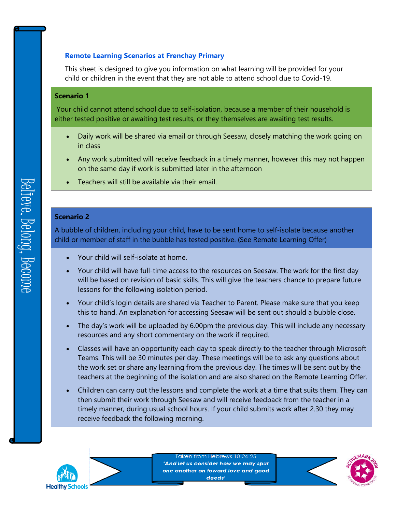## **Remote Learning Scenarios at Frenchay Primary**

This sheet is designed to give you information on what learning will be provided for your child or children in the event that they are not able to attend school due to Covid-19.

## **Scenario 1**

Your child cannot attend school due to self-isolation, because a member of their household is either tested positive or awaiting test results, or they themselves are awaiting test results.

- Daily work will be shared via email or through Seesaw, closely matching the work going on in class
- Any work submitted will receive feedback in a timely manner, however this may not happen on the same day if work is submitted later in the afternoon
- Teachers will still be available via their email.

## **Scenario 2**

A bubble of children, including your child, have to be sent home to self-isolate because another child or member of staff in the bubble has tested positive. (See Remote Learning Offer)

- Your child will self-isolate at home.
- Your child will have full-time access to the resources on Seesaw. The work for the first day will be based on revision of basic skills. This will give the teachers chance to prepare future lessons for the following isolation period.
- Your child's login details are shared via Teacher to Parent. Please make sure that you keep this to hand. An explanation for accessing Seesaw will be sent out should a bubble close.
- The day's work will be uploaded by 6.00pm the previous day. This will include any necessary resources and any short commentary on the work if required.
- Classes will have an opportunity each day to speak directly to the teacher through Microsoft Teams. This will be 30 minutes per day. These meetings will be to ask any questions about the work set or share any learning from the previous day. The times will be sent out by the teachers at the beginning of the isolation and are also shared on the Remote Learning Offer.
- Children can carry out the lessons and complete the work at a time that suits them. They can then submit their work through Seesaw and will receive feedback from the teacher in a timely manner, during usual school hours. If your child submits work after 2.30 they may receive feedback the following morning.



Taken from Hebrews 10:24-25 'And let us consider how we may spur one another on toward love and good deeds'